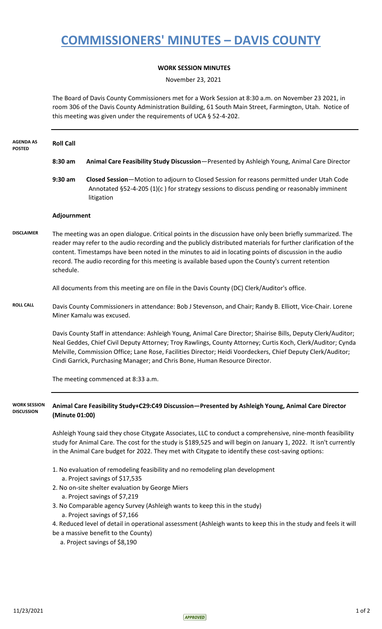## **COMMISSIONERS' MINUTES – DAVIS COUNTY**

## **WORK SESSION MINUTES**

November 23, 2021

The Board of Davis County Commissioners met for a Work Session at 8:30 a.m. on November 23 2021, in room 306 of the Davis County Administration Building, 61 South Main Street, Farmington, Utah. Notice of this meeting was given under the requirements of UCA § 52-4-202.

| <b>AGENDA AS</b><br><b>POSTED</b>        | <b>Roll Call</b>                                                                                                                                                                                                                                                                                                                                                                                                                                             |                                                                                                                                                                                                                                                                                                                                                                                                                            |
|------------------------------------------|--------------------------------------------------------------------------------------------------------------------------------------------------------------------------------------------------------------------------------------------------------------------------------------------------------------------------------------------------------------------------------------------------------------------------------------------------------------|----------------------------------------------------------------------------------------------------------------------------------------------------------------------------------------------------------------------------------------------------------------------------------------------------------------------------------------------------------------------------------------------------------------------------|
|                                          | 8:30 am                                                                                                                                                                                                                                                                                                                                                                                                                                                      | Animal Care Feasibility Study Discussion-Presented by Ashleigh Young, Animal Care Director                                                                                                                                                                                                                                                                                                                                 |
|                                          | $9:30$ am                                                                                                                                                                                                                                                                                                                                                                                                                                                    | Closed Session-Motion to adjourn to Closed Session for reasons permitted under Utah Code<br>Annotated §52-4-205 (1)(c) for strategy sessions to discuss pending or reasonably imminent<br>litigation                                                                                                                                                                                                                       |
|                                          | Adjournment                                                                                                                                                                                                                                                                                                                                                                                                                                                  |                                                                                                                                                                                                                                                                                                                                                                                                                            |
| <b>DISCLAIMER</b>                        | The meeting was an open dialogue. Critical points in the discussion have only been briefly summarized. The<br>reader may refer to the audio recording and the publicly distributed materials for further clarification of the<br>content. Timestamps have been noted in the minutes to aid in locating points of discussion in the audio<br>record. The audio recording for this meeting is available based upon the County's current retention<br>schedule. |                                                                                                                                                                                                                                                                                                                                                                                                                            |
|                                          |                                                                                                                                                                                                                                                                                                                                                                                                                                                              | All documents from this meeting are on file in the Davis County (DC) Clerk/Auditor's office.                                                                                                                                                                                                                                                                                                                               |
| <b>ROLL CALL</b>                         |                                                                                                                                                                                                                                                                                                                                                                                                                                                              | Davis County Commissioners in attendance: Bob J Stevenson, and Chair; Randy B. Elliott, Vice-Chair. Lorene<br>Miner Kamalu was excused.                                                                                                                                                                                                                                                                                    |
|                                          |                                                                                                                                                                                                                                                                                                                                                                                                                                                              | Davis County Staff in attendance: Ashleigh Young, Animal Care Director; Shairise Bills, Deputy Clerk/Auditor;<br>Neal Geddes, Chief Civil Deputy Attorney; Troy Rawlings, County Attorney; Curtis Koch, Clerk/Auditor; Cynda<br>Melville, Commission Office; Lane Rose, Facilities Director; Heidi Voordeckers, Chief Deputy Clerk/Auditor;<br>Cindi Garrick, Purchasing Manager; and Chris Bone, Human Resource Director. |
|                                          |                                                                                                                                                                                                                                                                                                                                                                                                                                                              | The meeting commenced at 8:33 a.m.                                                                                                                                                                                                                                                                                                                                                                                         |
| <b>WORK SESSION</b><br><b>DISCUSSION</b> | (Minute 01:00)                                                                                                                                                                                                                                                                                                                                                                                                                                               | Animal Care Feasibility Study+C29:C49 Discussion-Presented by Ashleigh Young, Animal Care Director                                                                                                                                                                                                                                                                                                                         |
|                                          |                                                                                                                                                                                                                                                                                                                                                                                                                                                              | Ashleigh Young said they chose Citygate Associates, LLC to conduct a comprehensive, nine-month feasibility<br>study for Animal Care. The cost for the study is \$189,525 and will begin on January 1, 2022. It isn't currently<br>in the Animal Care budget for 2022. They met with Citygate to identify these cost-saving options:                                                                                        |
|                                          |                                                                                                                                                                                                                                                                                                                                                                                                                                                              | 1. No evaluation of remodeling feasibility and no remodeling plan development<br>a. Project savings of \$17,535                                                                                                                                                                                                                                                                                                            |
|                                          |                                                                                                                                                                                                                                                                                                                                                                                                                                                              | 2. No on-site shelter evaluation by George Miers<br>a. Project savings of \$7,219                                                                                                                                                                                                                                                                                                                                          |
|                                          |                                                                                                                                                                                                                                                                                                                                                                                                                                                              | 3. No Comparable agency Survey (Ashleigh wants to keep this in the study)<br>a. Project savings of \$7,166                                                                                                                                                                                                                                                                                                                 |
|                                          |                                                                                                                                                                                                                                                                                                                                                                                                                                                              | 4. Reduced level of detail in operational assessment (Ashleigh wants to keep this in the study and feels it will<br>be a massive benefit to the County)<br>a. Project savings of \$8,190                                                                                                                                                                                                                                   |